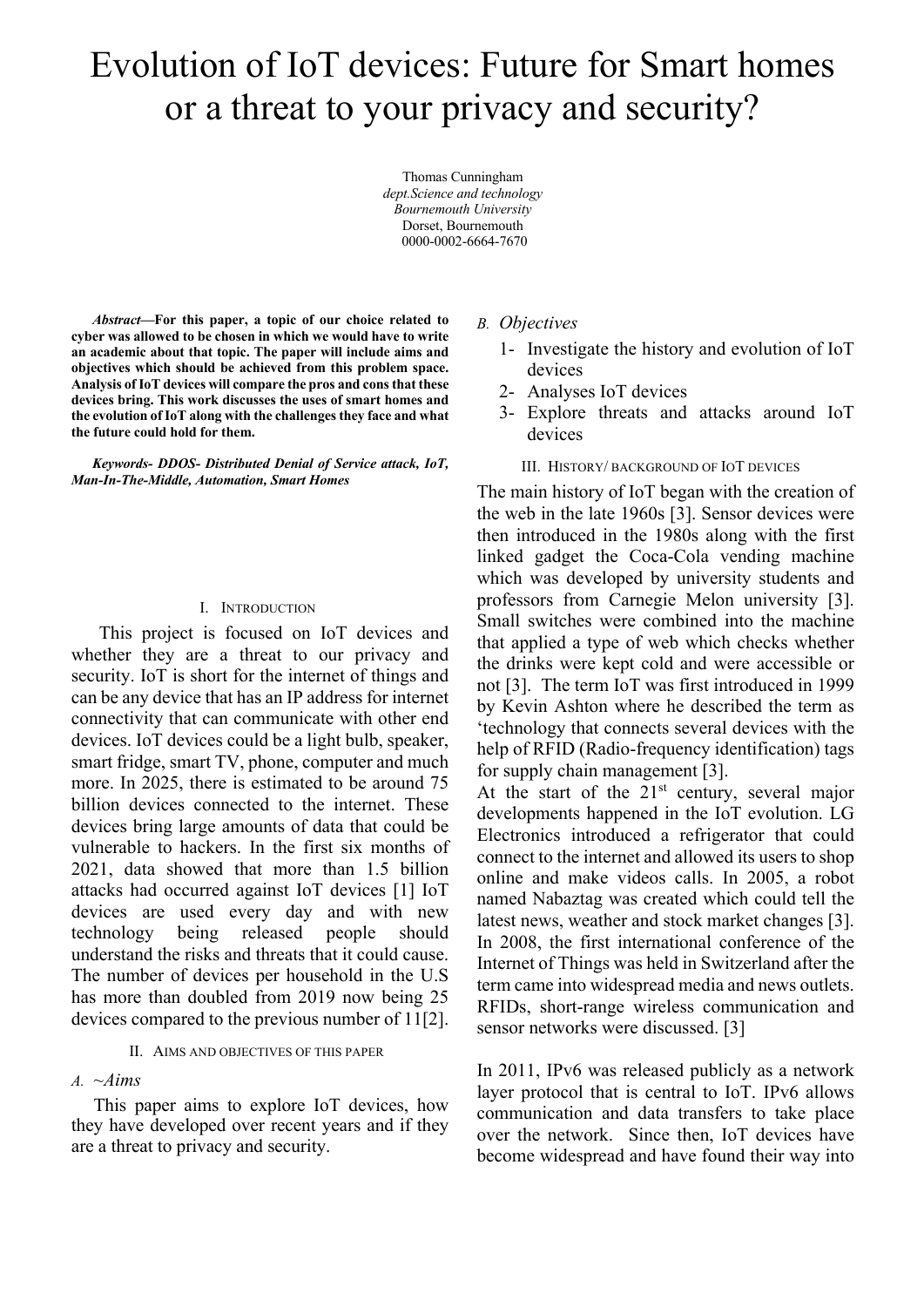# Evolution of IoT devices: Future for Smart homes or a threat to your privacy and security?

Thomas Cunningham *dept.Science and technology Bournemouth University* Dorset, Bournemouth 0000-0002-6664-7670

*Abstract***—For this paper, a topic of our choice related to cyber was allowed to be chosen in which we would have to write an academic about that topic. The paper will include aims and objectives which should be achieved from this problem space. Analysis of IoT devices will compare the pros and cons that these devices bring. This work discusses the uses of smart homes and the evolution of IoT along with the challenges they face and what the future could hold for them.**

*Keywords- DDOS- Distributed Denial of Service attack, IoT, Man-In-The-Middle, Automation, Smart Homes*

#### I. INTRODUCTION

 This project is focused on IoT devices and whether they are a threat to our privacy and security. IoT is short for the internet of things and can be any device that has an IP address for internet connectivity that can communicate with other end devices. IoT devices could be a light bulb, speaker, smart fridge, smart TV, phone, computer and much more. In 2025, there is estimated to be around 75 billion devices connected to the internet. These devices bring large amounts of data that could be vulnerable to hackers. In the first six months of 2021, data showed that more than 1.5 billion attacks had occurred against IoT devices [1] IoT devices are used every day and with new technology being released people should understand the risks and threats that it could cause. The number of devices per household in the U.S has more than doubled from 2019 now being 25 devices compared to the previous number of 11[2].

#### II. AIMS AND OBJECTIVES OF THIS PAPER

#### *A. ~Aims*

This paper aims to explore IoT devices, how they have developed over recent years and if they are a threat to privacy and security.

## *B. Objectives*

- 1- Investigate the history and evolution of IoT devices
- 2- Analyses IoT devices
- 3- Explore threats and attacks around IoT devices

## III. HISTORY/ BACKGROUND OF IOT DEVICES

The main history of IoT began with the creation of the web in the late 1960s [3]. Sensor devices were then introduced in the 1980s along with the first linked gadget the Coca-Cola vending machine which was developed by university students and professors from Carnegie Melon university [3]. Small switches were combined into the machine that applied a type of web which checks whether the drinks were kept cold and were accessible or not [3]. The term IoT was first introduced in 1999 by Kevin Ashton where he described the term as 'technology that connects several devices with the help of RFID (Radio-frequency identification) tags for supply chain management [3].

At the start of the 21<sup>st</sup> century, several major developments happened in the IoT evolution. LG Electronics introduced a refrigerator that could connect to the internet and allowed its users to shop online and make videos calls. In 2005, a robot named Nabaztag was created which could tell the latest news, weather and stock market changes [3]. In 2008, the first international conference of the Internet of Things was held in Switzerland after the term came into widespread media and news outlets. RFIDs, short-range wireless communication and sensor networks were discussed. [3]

In 2011, IPv6 was released publicly as a network layer protocol that is central to IoT. IPv6 allows communication and data transfers to take place over the network. Since then, IoT devices have become widespread and have found their way into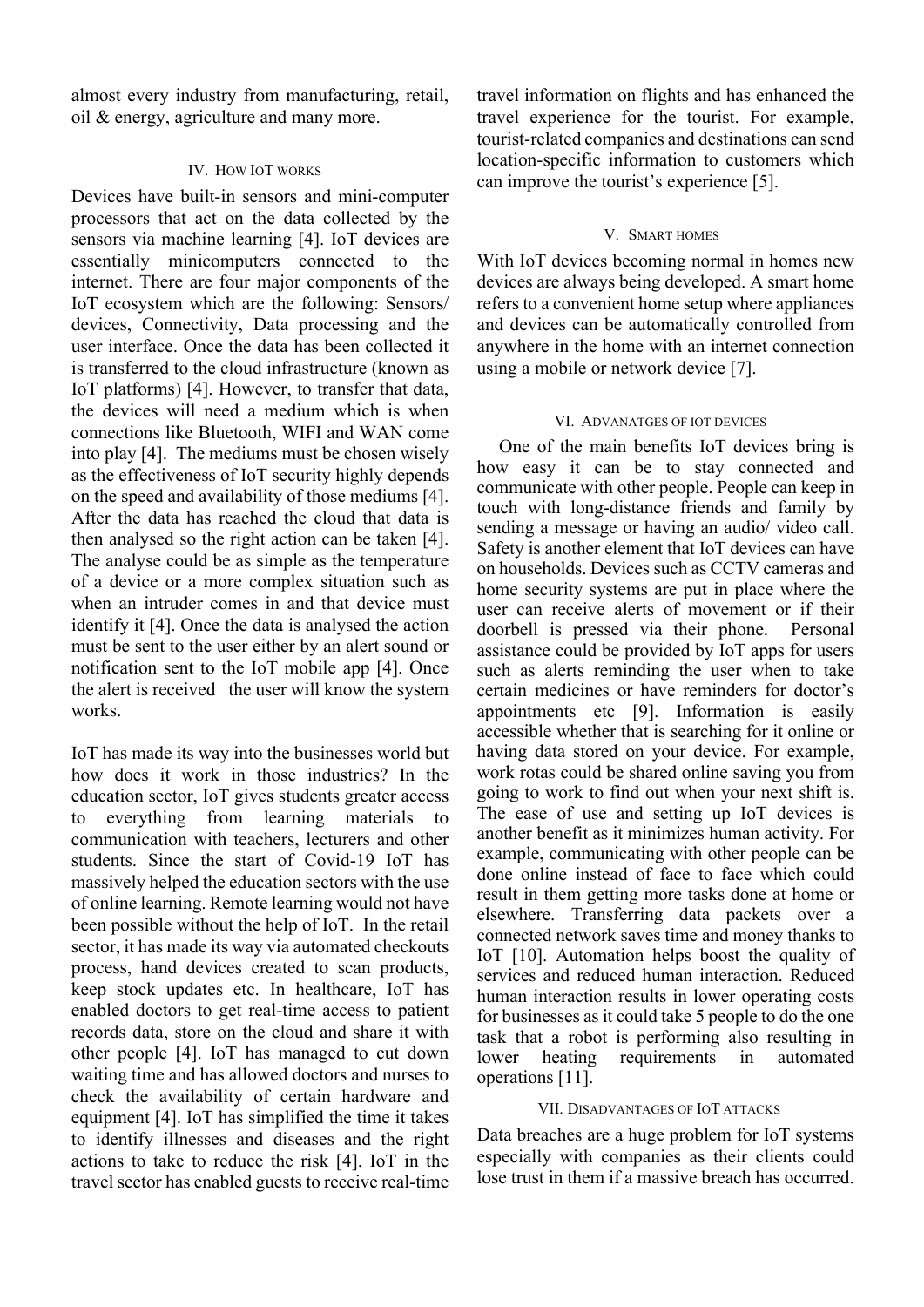almost every industry from manufacturing, retail, oil & energy, agriculture and many more.

#### IV. HOW IOT WORKS

Devices have built-in sensors and mini-computer processors that act on the data collected by the sensors via machine learning [4]. IoT devices are essentially minicomputers connected to the internet. There are four major components of the IoT ecosystem which are the following: Sensors/ devices, Connectivity, Data processing and the user interface. Once the data has been collected it is transferred to the cloud infrastructure (known as IoT platforms) [4]. However, to transfer that data, the devices will need a medium which is when connections like Bluetooth, WIFI and WAN come into play [4]. The mediums must be chosen wisely as the effectiveness of IoT security highly depends on the speed and availability of those mediums [4]. After the data has reached the cloud that data is then analysed so the right action can be taken [4]. The analyse could be as simple as the temperature of a device or a more complex situation such as when an intruder comes in and that device must identify it [4]. Once the data is analysed the action must be sent to the user either by an alert sound or notification sent to the IoT mobile app [4]. Once the alert is received the user will know the system works.

IoT has made its way into the businesses world but how does it work in those industries? In the education sector, IoT gives students greater access to everything from learning materials to communication with teachers, lecturers and other students. Since the start of Covid-19 IoT has massively helped the education sectors with the use of online learning. Remote learning would not have been possible without the help of IoT. In the retail sector, it has made its way via automated checkouts process, hand devices created to scan products, keep stock updates etc. In healthcare, IoT has enabled doctors to get real-time access to patient records data, store on the cloud and share it with other people [4]. IoT has managed to cut down waiting time and has allowed doctors and nurses to check the availability of certain hardware and equipment [4]. IoT has simplified the time it takes to identify illnesses and diseases and the right actions to take to reduce the risk [4]. IoT in the travel sector has enabled guests to receive real-time travel information on flights and has enhanced the travel experience for the tourist. For example, tourist-related companies and destinations can send location-specific information to customers which can improve the tourist's experience [5].

#### V. SMART HOMES

With IoT devices becoming normal in homes new devices are always being developed. A smart home refers to a convenient home setup where appliances and devices can be automatically controlled from anywhere in the home with an internet connection using a mobile or network device [7].

#### VI. ADVANATGES OF IOT DEVICES

One of the main benefits IoT devices bring is how easy it can be to stay connected and communicate with other people. People can keep in touch with long-distance friends and family by sending a message or having an audio/ video call. Safety is another element that IoT devices can have on households. Devices such as CCTV cameras and home security systems are put in place where the user can receive alerts of movement or if their doorbell is pressed via their phone. Personal assistance could be provided by IoT apps for users such as alerts reminding the user when to take certain medicines or have reminders for doctor's appointments etc [9]. Information is easily accessible whether that is searching for it online or having data stored on your device. For example, work rotas could be shared online saving you from going to work to find out when your next shift is. The ease of use and setting up IoT devices is another benefit as it minimizes human activity. For example, communicating with other people can be done online instead of face to face which could result in them getting more tasks done at home or elsewhere. Transferring data packets over a connected network saves time and money thanks to IoT [10]. Automation helps boost the quality of services and reduced human interaction. Reduced human interaction results in lower operating costs for businesses as it could take 5 people to do the one task that a robot is performing also resulting in lower heating requirements in automated operations [11].

## VII. DISADVANTAGES OF IOT ATTACKS

Data breaches are a huge problem for IoT systems especially with companies as their clients could lose trust in them if a massive breach has occurred.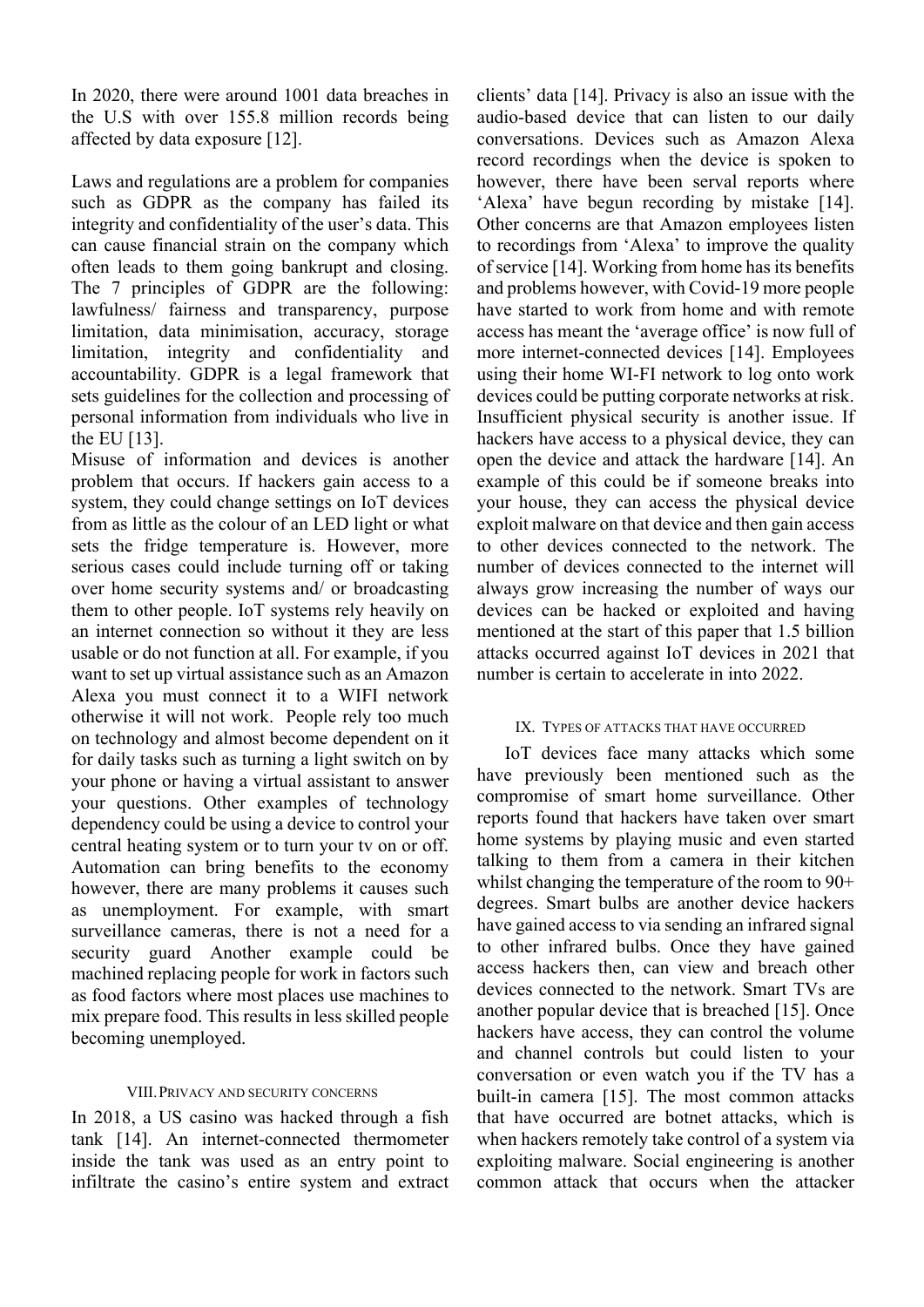In 2020, there were around 1001 data breaches in the U.S with over 155.8 million records being affected by data exposure [12].

Laws and regulations are a problem for companies such as GDPR as the company has failed its integrity and confidentiality of the user's data. This can cause financial strain on the company which often leads to them going bankrupt and closing. The 7 principles of GDPR are the following: lawfulness/ fairness and transparency, purpose limitation, data minimisation, accuracy, storage limitation, integrity and confidentiality and accountability. GDPR is a legal framework that sets guidelines for the collection and processing of personal information from individuals who live in the EU [13].

Misuse of information and devices is another problem that occurs. If hackers gain access to a system, they could change settings on IoT devices from as little as the colour of an LED light or what sets the fridge temperature is. However, more serious cases could include turning off or taking over home security systems and/ or broadcasting them to other people. IoT systems rely heavily on an internet connection so without it they are less usable or do not function at all. For example, if you want to set up virtual assistance such as an Amazon Alexa you must connect it to a WIFI network otherwise it will not work. People rely too much on technology and almost become dependent on it for daily tasks such as turning a light switch on by your phone or having a virtual assistant to answer your questions. Other examples of technology dependency could be using a device to control your central heating system or to turn your tv on or off. Automation can bring benefits to the economy however, there are many problems it causes such as unemployment. For example, with smart surveillance cameras, there is not a need for a security guard Another example could be machined replacing people for work in factors such as food factors where most places use machines to mix prepare food. This results in less skilled people becoming unemployed.

## VIII.PRIVACY AND SECURITY CONCERNS

In 2018, a US casino was hacked through a fish tank [14]. An internet-connected thermometer inside the tank was used as an entry point to infiltrate the casino's entire system and extract

clients' data [14]. Privacy is also an issue with the audio-based device that can listen to our daily conversations. Devices such as Amazon Alexa record recordings when the device is spoken to however, there have been serval reports where 'Alexa' have begun recording by mistake [14]. Other concerns are that Amazon employees listen to recordings from 'Alexa' to improve the quality of service [14]. Working from home has its benefits and problems however, with Covid-19 more people have started to work from home and with remote access has meant the 'average office' is now full of more internet-connected devices [14]. Employees using their home WI-FI network to log onto work devices could be putting corporate networks at risk. Insufficient physical security is another issue. If hackers have access to a physical device, they can open the device and attack the hardware [14]. An example of this could be if someone breaks into your house, they can access the physical device exploit malware on that device and then gain access to other devices connected to the network. The number of devices connected to the internet will always grow increasing the number of ways our devices can be hacked or exploited and having mentioned at the start of this paper that 1.5 billion attacks occurred against IoT devices in 2021 that number is certain to accelerate in into 2022

## IX. TYPES OF ATTACKS THAT HAVE OCCURRED

 IoT devices face many attacks which some have previously been mentioned such as the compromise of smart home surveillance. Other reports found that hackers have taken over smart home systems by playing music and even started talking to them from a camera in their kitchen whilst changing the temperature of the room to 90+ degrees. Smart bulbs are another device hackers have gained access to via sending an infrared signal to other infrared bulbs. Once they have gained access hackers then, can view and breach other devices connected to the network. Smart TVs are another popular device that is breached [15]. Once hackers have access, they can control the volume and channel controls but could listen to your conversation or even watch you if the TV has a built-in camera [15]. The most common attacks that have occurred are botnet attacks, which is when hackers remotely take control of a system via exploiting malware. Social engineering is another common attack that occurs when the attacker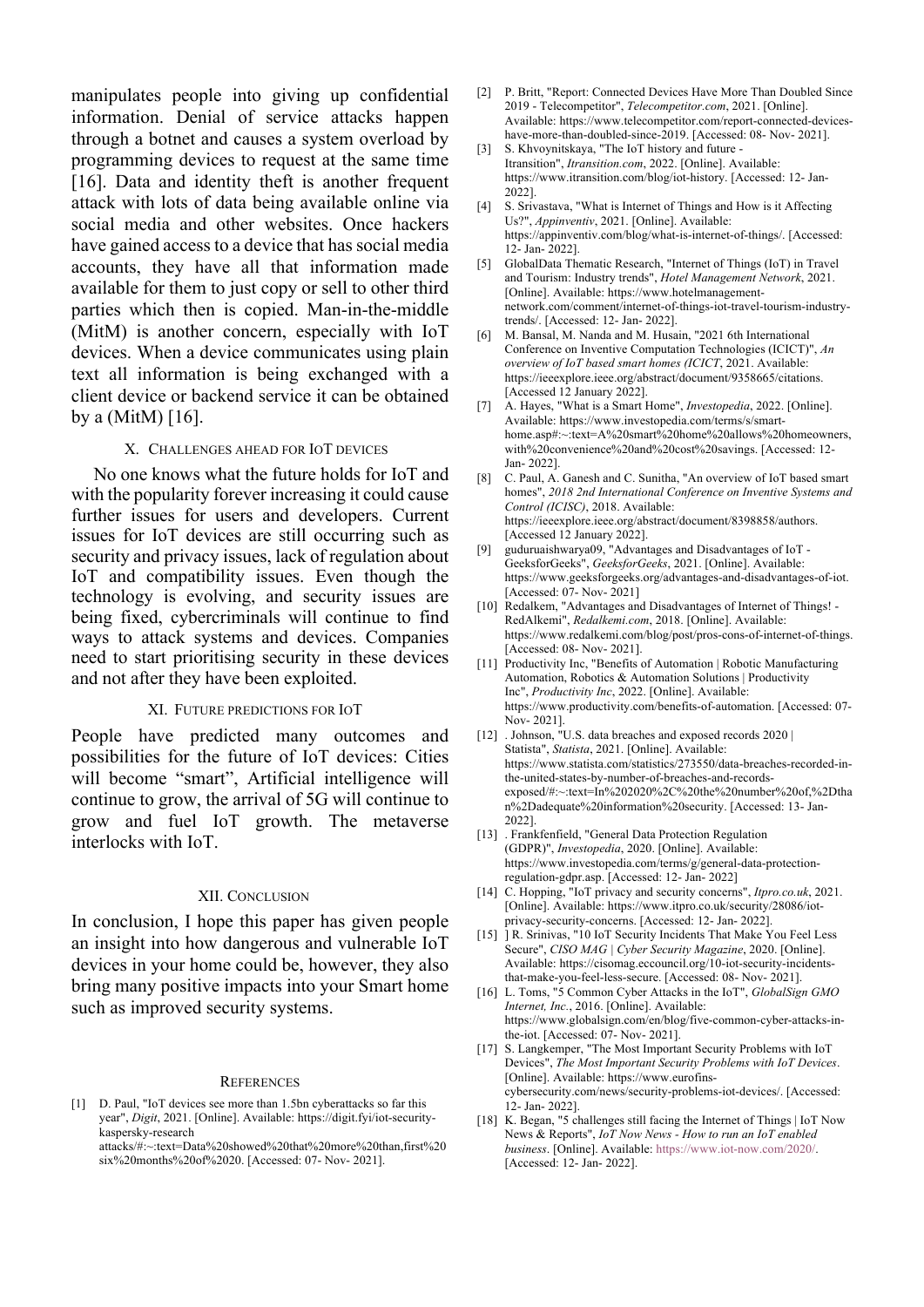manipulates people into giving up confidential information. Denial of service attacks happen through a botnet and causes a system overload by programming devices to request at the same time [16]. Data and identity theft is another frequent attack with lots of data being available online via social media and other websites. Once hackers have gained access to a device that has social media accounts, they have all that information made available for them to just copy or sell to other third parties which then is copied. Man-in-the-middle (MitM) is another concern, especially with IoT devices. When a device communicates using plain text all information is being exchanged with a client device or backend service it can be obtained by a (MitM) [16].

#### X. CHALLENGES AHEAD FOR IOT DEVICES

No one knows what the future holds for IoT and with the popularity forever increasing it could cause further issues for users and developers. Current issues for IoT devices are still occurring such as security and privacy issues, lack of regulation about IoT and compatibility issues. Even though the technology is evolving, and security issues are being fixed, cybercriminals will continue to find ways to attack systems and devices. Companies need to start prioritising security in these devices and not after they have been exploited.

#### XI. FUTURE PREDICTIONS FOR IOT

People have predicted many outcomes and possibilities for the future of IoT devices: Cities will become "smart", Artificial intelligence will continue to grow, the arrival of 5G will continue to grow and fuel IoT growth. The metaverse interlocks with IoT.

#### XII. CONCLUSION

In conclusion, I hope this paper has given people an insight into how dangerous and vulnerable IoT devices in your home could be, however, they also bring many positive impacts into your Smart home such as improved security systems.

#### **REFERENCES**

[1] D. Paul, "IoT devices see more than 1.5bn cyberattacks so far this year", *Digit*, 2021. [Online]. Available: https://digit.fyi/iot-securitykaspersky-research attacks/#:~:text=Data%20showed%20that%20more%20than,first%20

six%20months%20of%2020. [Accessed: 07- Nov- 2021].

- [2] P. Britt, "Report: Connected Devices Have More Than Doubled Since 2019 - Telecompetitor", *Telecompetitor.com*, 2021. [Online]. Available: https://www.telecompetitor.com/report-connected-deviceshave-more-than-doubled-since-2019. [Accessed: 08- Nov- 2021].
- [3] S. Khvoynitskaya, "The IoT history and future Itransition", *Itransition.com*, 2022. [Online]. Available: https://www.itransition.com/blog/iot-history. [Accessed: 12- Jan-2022].
- [4] S. Srivastava, "What is Internet of Things and How is it Affecting Us?", *Appinventiv*, 2021. [Online]. Available: https://appinventiv.com/blog/what-is-internet-of-things/. [Accessed: 12- Jan- 2022].
- [5] GlobalData Thematic Research, "Internet of Things (IoT) in Travel and Tourism: Industry trends", *Hotel Management Network*, 2021. [Online]. Available: https://www.hotelmanagementnetwork.com/comment/internet-of-things-iot-travel-tourism-industrytrends/. [Accessed: 12- Jan- 2022].
- [6] M. Bansal, M. Nanda and M. Husain, "2021 6th International Conference on Inventive Computation Technologies (ICICT)", *An overview of IoT based smart homes (ICICT*, 2021. Available: https://ieeexplore.ieee.org/abstract/document/9358665/citations. [Accessed 12 January 2022].
- [7] A. Hayes, "What is a Smart Home", *Investopedia*, 2022. [Online]. Available: https://www.investopedia.com/terms/s/smarthome.asp#:~:text=A%20smart%20home%20allows%20homeowners, with%20convenience%20and%20cost%20savings. [Accessed: 12- Jan- 2022].
- [8] C. Paul, A. Ganesh and C. Sunitha, "An overview of IoT based smart homes", *2018 2nd International Conference on Inventive Systems and Control (ICISC)*, 2018. Available: https://ieeexplore.ieee.org/abstract/document/8398858/authors. [Accessed 12 January 2022].
- [9] guduruaishwarya09, "Advantages and Disadvantages of IoT GeeksforGeeks", *GeeksforGeeks*, 2021. [Online]. Available: https://www.geeksforgeeks.org/advantages-and-disadvantages-of-iot. [Accessed: 07- Nov- 2021]
- [10] Redalkem, "Advantages and Disadvantages of Internet of Things! RedAlkemi", *Redalkemi.com*, 2018. [Online]. Available: https://www.redalkemi.com/blog/post/pros-cons-of-internet-of-things. [Accessed: 08- Nov- 2021].
- [11] Productivity Inc, "Benefits of Automation | Robotic Manufacturing Automation, Robotics & Automation Solutions | Productivity Inc", *Productivity Inc*, 2022. [Online]. Available: https://www.productivity.com/benefits-of-automation. [Accessed: 07- Nov- 2021].
- [12] . Johnson, "U.S. data breaches and exposed records 2020 | Statista", *Statista*, 2021. [Online]. Available: https://www.statista.com/statistics/273550/data-breaches-recorded-inthe-united-states-by-number-of-breaches-and-recordsexposed/#:~:text=In%202020%2C%20the%20number%20of,%2Dtha n%2Dadequate%20information%20security. [Accessed: 13- Jan-2022].
- [13] . Frankfenfield, "General Data Protection Regulation (GDPR)", *Investopedia*, 2020. [Online]. Available: https://www.investopedia.com/terms/g/general-data-protectionregulation-gdpr.asp. [Accessed: 12- Jan- 2022]
- [14] C. Hopping, "IoT privacy and security concerns", *Itpro.co.uk*, 2021. [Online]. Available: https://www.itpro.co.uk/security/28086/iotprivacy-security-concerns. [Accessed: 12- Jan- 2022].
- [15] ] R. Srinivas, "10 IoT Security Incidents That Make You Feel Less Secure", *CISO MAG | Cyber Security Magazine*, 2020. [Online]. Available: https://cisomag.eccouncil.org/10-iot-security-incidentsthat-make-you-feel-less-secure. [Accessed: 08- Nov- 2021].
- [16] L. Toms, "5 Common Cyber Attacks in the IoT", *GlobalSign GMO Internet, Inc.*, 2016. [Online]. Available: https://www.globalsign.com/en/blog/five-common-cyber-attacks-inthe-iot. [Accessed: 07- Nov- 2021].
- [17] S. Langkemper, "The Most Important Security Problems with IoT Devices", *The Most Important Security Problems with IoT Devices*. [Online]. Available: https://www.eurofinscybersecurity.com/news/security-problems-iot-devices/. [Accessed: 12- Jan- 2022].
- [18] K. Began, "5 challenges still facing the Internet of Things | IoT Now News & Reports", *IoT Now News - How to run an IoT enabled business*. [Online]. Available: https://www.iot-now.com/2020/. [Accessed: 12- Jan- 2022].